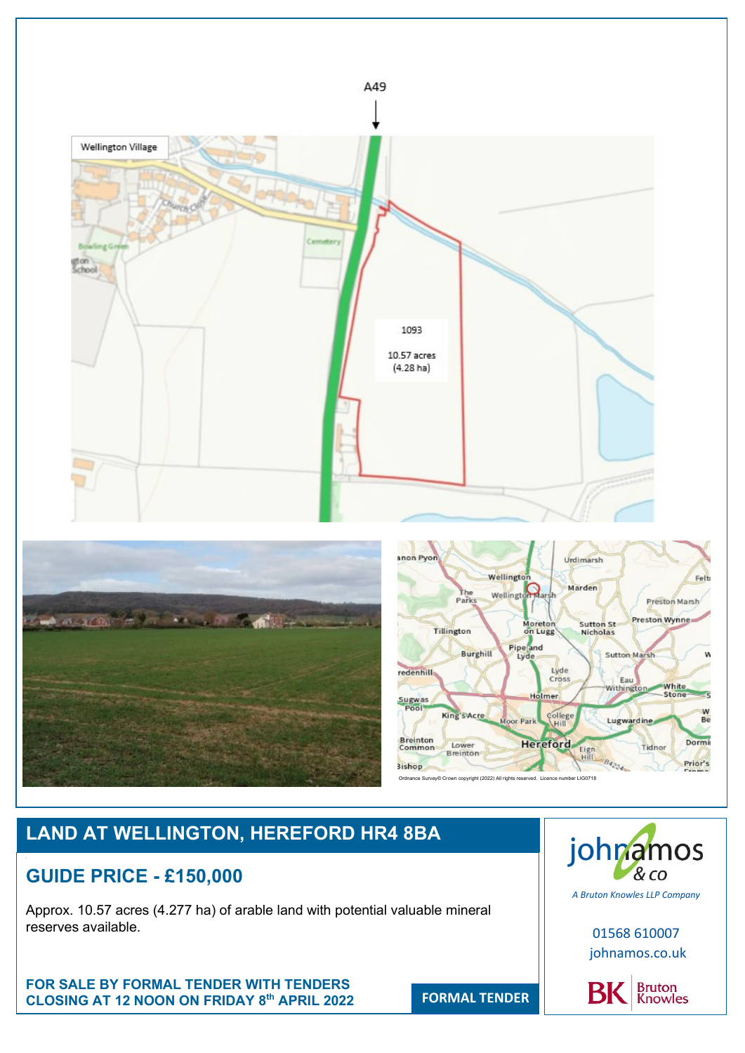

# **LAND AT WELLINGTON, HEREFORD HR4 8BA**

# **GUIDE PRICE - £150,000**

Approx. 10.57 acres (4.277 ha) of arable land with potential valuable mineral reserves available.

**FOR SALE BY FORMAL TENDER WITH TENDERS CLOSING AT 12 NOON ON FRIDAY 8**



01568 610007 johnamos.co.uk



**FORMAL TENDER**